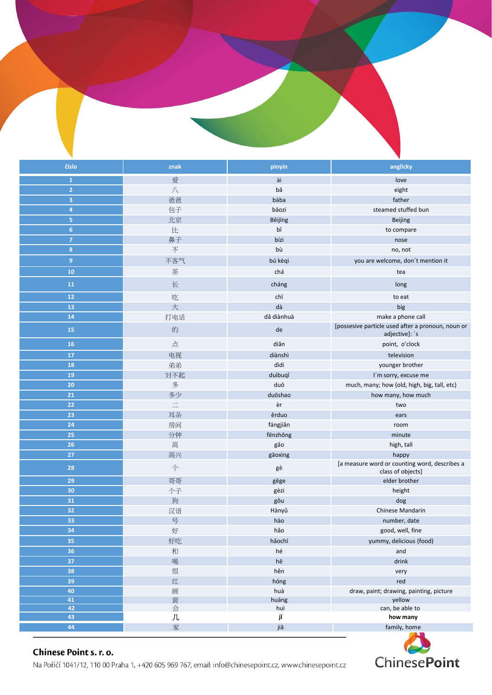



## Chinese Point s. r. o.

Na Poříčí 1041/12, 110 00 Praha 1, +420 605 969 767, email: info@chinesepoint.cz, www.chinesepoint.cz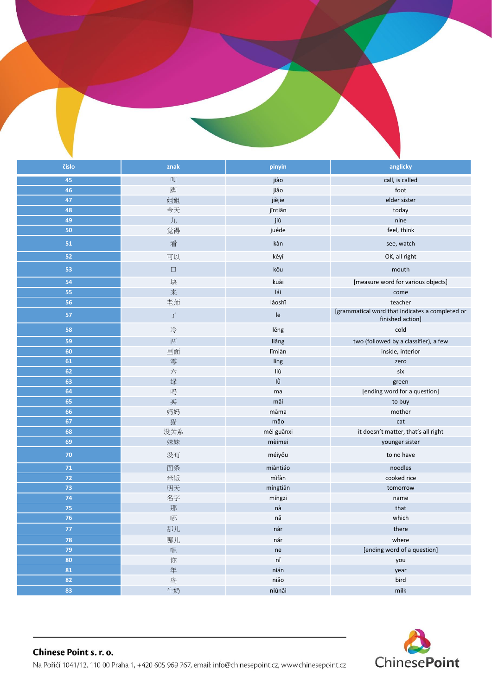|            |                      |                                | v                                                                   |
|------------|----------------------|--------------------------------|---------------------------------------------------------------------|
| číslo      | znak                 | pinyin                         | anglicky                                                            |
| 45         | 叫                    | jiào                           | call, is called                                                     |
| 46         | 脚                    | jiǎo                           | foot                                                                |
| 47         | 姐姐                   | jiějie                         | elder sister                                                        |
| 48         | 今天                   | jīntiān                        | today                                                               |
| 49         | 九                    | jiŭ                            | nine                                                                |
| 50         | 觉得                   | juéde                          | feel, think                                                         |
| 51         | 看                    | kàn                            | see, watch                                                          |
| 52         | 可以                   | kěyĭ                           | OK, all right                                                       |
| 53         | $\Box$               | kŏu                            | mouth                                                               |
| 54         | 块                    | kuài                           | [measure word for various objects]                                  |
| 55         | 来                    | lái                            | come                                                                |
| 56         | 老师                   | lǎoshī                         | teacher                                                             |
| 57         | $\overrightarrow{J}$ | Ie                             | [grammatical word that indicates a completed or<br>finished action] |
| 58         | 冷                    | lěng                           | cold                                                                |
| 59         | 两                    | liǎng                          | two (followed by a classifier), a few                               |
| 60         | 里面                   | lǐmiàn                         | inside, interior                                                    |
| 61         | 零                    | líng                           | zero                                                                |
| 62         | 六                    | liù                            | six                                                                 |
| 63         | 绿                    | lù                             | green                                                               |
| 64         | 吗                    | ma                             | [ending word for a question]                                        |
| 65         | 买                    | mǎi                            | to buy                                                              |
| 66         | 妈妈                   | māma                           | mother                                                              |
| 67         | 猫                    | mão                            | cat                                                                 |
| 68         | 没关系                  | méi guānxi                     | it doesn't matter, that's all right                                 |
| 69         | 妹妹                   | mèimei                         | younger sister                                                      |
| 70         | 没有                   | méiyǒu                         | to no have                                                          |
| ${\bf 71}$ | 面条                   | miàntiáo                       | noodles                                                             |
| $72$       | 米饭                   | mĭfàn                          | cooked rice                                                         |
| 73         | 明天                   | míngtiān                       | tomorrow                                                            |
| 74         | 名字                   | míngzi                         | name                                                                |
| 75         | 那                    | nà                             | that                                                                |
| 76         | 哪                    | nă                             | which                                                               |
| 77         | 那儿                   | nàr                            | there                                                               |
| 78         | 哪儿                   | $n\text{\v{a}}$ r              | where                                                               |
| 79         | 呢                    | $\sf ne$                       | [ending word of a question]                                         |
| 80         | 你                    | $\mathsf{n}\check{\mathsf{n}}$ | you                                                                 |
| 81         | 年                    | nián                           | year                                                                |
| 82         | 鸟                    | niǎo                           | bird                                                                |
| 83         | 牛奶                   | niúnăi                         | milk                                                                |

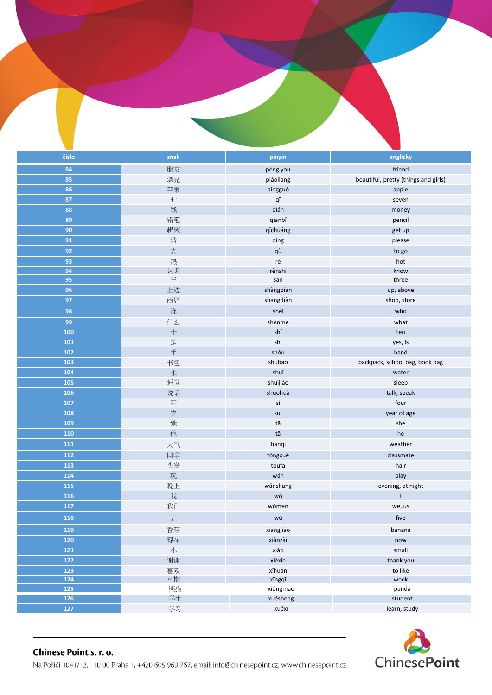| číslo | znak                    | pinyin        | anglicky                             |
|-------|-------------------------|---------------|--------------------------------------|
| 84    | 朋友                      | péng you      | friend                               |
| 85    | 漂亮                      | piàoliang     | beautiful, pretty (things and girls) |
| 86    | 苹果                      | píngguǒ       | apple                                |
| 87    | 七                       | qī            | seven                                |
| 88    | 钱                       | qián          | money                                |
| 89    | 铅笔                      | qiānbǐ        | pencil                               |
| 90    | 起床                      | qichuáng      | get up                               |
| 91    | 请                       | qǐng          | please                               |
| 92    | 去                       | qù            | to go                                |
| 93    | 热                       | rè            | hot                                  |
| 94    | 认识                      | rènshi        | know                                 |
| 95    | $\equiv$                | sān           | three                                |
| 96    | 上边                      | shàngbian     | up, above                            |
| 97    | 商店                      | shängdiàn     | shop, store                          |
| 98    | 谁                       | shéi          | who                                  |
| 99    | 什么                      | shénme        | what                                 |
| 100   | $\! +$                  | shí           | ten                                  |
| 101   | 是                       | shì           | yes, is                              |
| 102   | 手                       | shǒu          | hand                                 |
| 103   | 书包                      | shūbāo        | backpack, school bag, book bag       |
| 104   | 水                       | shuǐ          | water                                |
| 105   | 睡觉                      | shuìjiào      | sleep                                |
| 106   | 说话                      | shuōhuà       | talk, speak                          |
| 107   | 四                       | $\mathsf{si}$ | four                                 |
| 108   | 岁                       | suì           | year of age                          |
| 109   | 她                       | tā            | she                                  |
| 110   | 他                       | tā            | he                                   |
| 111   | 天气                      | tiānqì        | weather                              |
| 112   | 同学                      | tóngxué       | classmate                            |
| 113   | 头发                      | tóufa         | hair                                 |
| 114   | 玩                       | wán           | play                                 |
| 115   | 晚上                      | wǎnshang      | evening, at night                    |
| 116   | 我                       | wǒ            |                                      |
| 117   | 我们                      | wǒmen         | we, us                               |
| 118   | $\overline{\mathrm{m}}$ | wǔ            | five                                 |
| 119   | 香蕉                      | xiāngjiāo     | banana                               |
| 120   | 现在                      | xiànzài       | now                                  |
| 121   | $\sqrt{\ }$             | xiǎo          | small                                |
| 122   | 谢谢                      | xièxie        | thank you                            |
| 123   | 喜欢                      | xǐhuān        | to like                              |
| 124   | 星期                      | xīngqī        | week                                 |
| 125   | 熊猫                      | xióngmão      | panda                                |
| 126   | 学生                      | xuésheng      | student                              |
| 127   | 学习                      | xuéxí         | learn, study                         |

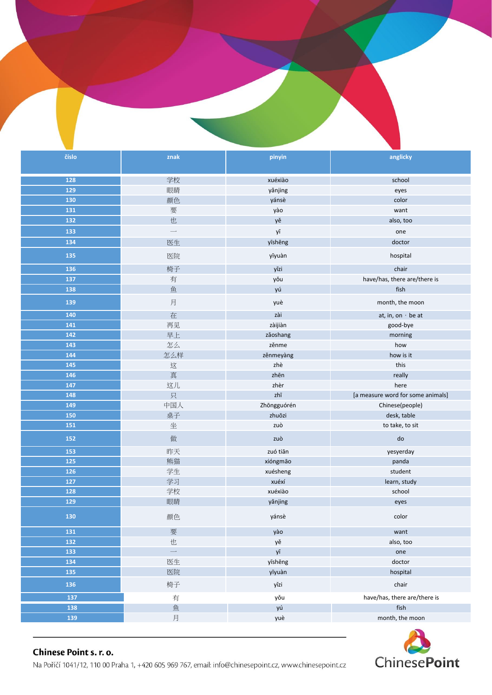



## Chinese Point s. r. o.

Na Poříčí 1041/12, 110 00 Praha 1, +420 605 969 767, email: info@chinesepoint.cz, www.chinesepoint.cz